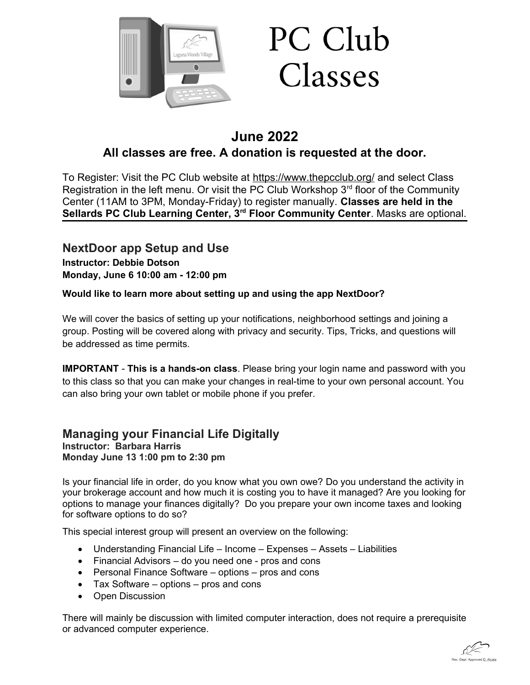

# **June 2022 All classes are free. A donation is requested at the door.**

To Register: Visit the PC Club website at <https://www.thepcclub.org/> and select Class Registration in the left menu. Or visit the PC Club Workshop  $3<sup>rd</sup>$  floor of the Community Center (11AM to 3PM, Monday-Friday) to register manually. **Classes are held in the Sellards PC Club Learning Center, 3rd Floor Community Center**. Masks are optional.

**NextDoor app Setup and Use Instructor: Debbie Dotson Monday, June 6 10:00 am - 12:00 pm**

### **Would like to learn more about setting up and using the app NextDoor?**

We will cover the basics of setting up your notifications, neighborhood settings and joining a group. Posting will be covered along with privacy and security. Tips, Tricks, and questions will be addressed as time permits.

**IMPORTANT** - **This is a hands-on class**. Please bring your login name and password with you to this class so that you can make your changes in real-time to your own personal account. You can also bring your own tablet or mobile phone if you prefer.

### **Managing your Financial Life Digitally Instructor: Barbara Harris Monday June 13 1:00 pm to 2:30 pm**

Is your financial life in order, do you know what you own owe? Do you understand the activity in your brokerage account and how much it is costing you to have it managed? Are you looking for options to manage your finances digitally? Do you prepare your own income taxes and looking for software options to do so?

This special interest group will present an overview on the following:

- Understanding Financial Life Income Expenses Assets Liabilities
- Financial Advisors do you need one pros and cons
- Personal Finance Software options pros and cons
- Tax Software options pros and cons
- Open Discussion

There will mainly be discussion with limited computer interaction, does not require a prerequisite or advanced computer experience.